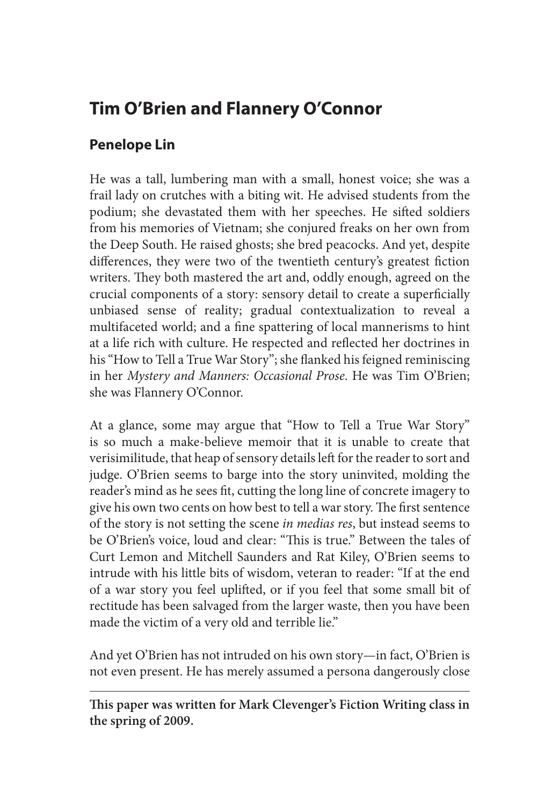# **Tim O'Brien and Flannery O'Connor**

## **Penelope Lin**

He was a tall, lumbering man with a small, honest voice; she was a frail lady on crutches with a biting wit. He advised students from the podium; she devastated them with her speeches. He sifted soldiers from his memories of Vietnam; she conjured freaks on her own from the Deep South. He raised ghosts; she bred peacocks. And yet, despite differences, they were two of the twentieth century's greatest fiction writers. They both mastered the art and, oddly enough, agreed on the crucial components of a story: sensory detail to create a superficially unbiased sense of reality; gradual contextualization to reveal a multifaceted world; and a fine spattering of local mannerisms to hint at a life rich with culture. He respected and reflected her doctrines in his "How to Tell a True War Story"; she flanked his feigned reminiscing in her *Mystery and Manners: Occasional Prose*. He was Tim O'Brien; she was Flannery O'Connor.

At a glance, some may argue that "How to Tell a True War Story" is so much a make-believe memoir that it is unable to create that verisimilitude, that heap of sensory details left for the reader to sort and judge. O'Brien seems to barge into the story uninvited, molding the reader's mind as he sees fit, cutting the long line of concrete imagery to give his own two cents on how best to tell a war story. The first sentence of the story is not setting the scene *in medias res*, but instead seems to be O'Brien's voice, loud and clear: "This is true." Between the tales of Curt Lemon and Mitchell Saunders and Rat Kiley, O'Brien seems to intrude with his little bits of wisdom, veteran to reader: "If at the end of a war story you feel uplifted, or if you feel that some small bit of rectitude has been salvaged from the larger waste, then you have been made the victim of a very old and terrible lie."

And yet O'Brien has not intruded on his own story—in fact, O'Brien is not even present. He has merely assumed a persona dangerously close

**This paper was written for Mark Clevenger's Fiction Writing class in the spring of 2009.**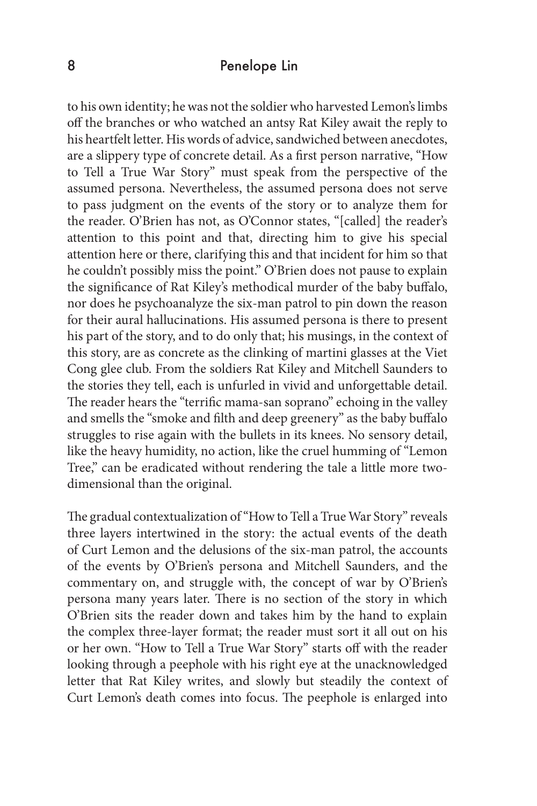#### 8 Penelope Lin

to his own identity; he was not the soldier who harvested Lemon's limbs off the branches or who watched an antsy Rat Kiley await the reply to his heartfelt letter. His words of advice, sandwiched between anecdotes, are a slippery type of concrete detail. As a first person narrative, "How to Tell a True War Story" must speak from the perspective of the assumed persona. Nevertheless, the assumed persona does not serve to pass judgment on the events of the story or to analyze them for the reader. O'Brien has not, as O'Connor states, "[called] the reader's attention to this point and that, directing him to give his special attention here or there, clarifying this and that incident for him so that he couldn't possibly miss the point." O'Brien does not pause to explain the significance of Rat Kiley's methodical murder of the baby buffalo, nor does he psychoanalyze the six-man patrol to pin down the reason for their aural hallucinations. His assumed persona is there to present his part of the story, and to do only that; his musings, in the context of this story, are as concrete as the clinking of martini glasses at the Viet Cong glee club. From the soldiers Rat Kiley and Mitchell Saunders to the stories they tell, each is unfurled in vivid and unforgettable detail. The reader hears the "terrific mama-san soprano" echoing in the valley and smells the "smoke and filth and deep greenery" as the baby buffalo struggles to rise again with the bullets in its knees. No sensory detail, like the heavy humidity, no action, like the cruel humming of "Lemon Tree," can be eradicated without rendering the tale a little more twodimensional than the original.

The gradual contextualization of "How to Tell a True War Story" reveals three layers intertwined in the story: the actual events of the death of Curt Lemon and the delusions of the six-man patrol, the accounts of the events by O'Brien's persona and Mitchell Saunders, and the commentary on, and struggle with, the concept of war by O'Brien's persona many years later. There is no section of the story in which O'Brien sits the reader down and takes him by the hand to explain the complex three-layer format; the reader must sort it all out on his or her own. "How to Tell a True War Story" starts off with the reader looking through a peephole with his right eye at the unacknowledged letter that Rat Kiley writes, and slowly but steadily the context of Curt Lemon's death comes into focus. The peephole is enlarged into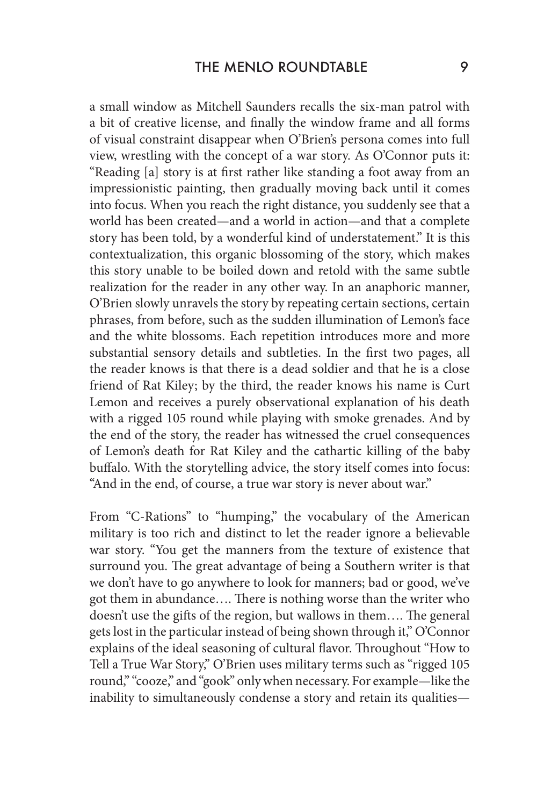a small window as Mitchell Saunders recalls the six-man patrol with a bit of creative license, and finally the window frame and all forms of visual constraint disappear when O'Brien's persona comes into full view, wrestling with the concept of a war story. As O'Connor puts it: "Reading [a] story is at first rather like standing a foot away from an impressionistic painting, then gradually moving back until it comes into focus. When you reach the right distance, you suddenly see that a world has been created—and a world in action—and that a complete story has been told, by a wonderful kind of understatement." It is this contextualization, this organic blossoming of the story, which makes this story unable to be boiled down and retold with the same subtle realization for the reader in any other way. In an anaphoric manner, O'Brien slowly unravels the story by repeating certain sections, certain phrases, from before, such as the sudden illumination of Lemon's face and the white blossoms. Each repetition introduces more and more substantial sensory details and subtleties. In the first two pages, all the reader knows is that there is a dead soldier and that he is a close friend of Rat Kiley; by the third, the reader knows his name is Curt Lemon and receives a purely observational explanation of his death with a rigged 105 round while playing with smoke grenades. And by the end of the story, the reader has witnessed the cruel consequences of Lemon's death for Rat Kiley and the cathartic killing of the baby buffalo. With the storytelling advice, the story itself comes into focus: "And in the end, of course, a true war story is never about war."

From "C-Rations" to "humping," the vocabulary of the American military is too rich and distinct to let the reader ignore a believable war story. "You get the manners from the texture of existence that surround you. The great advantage of being a Southern writer is that we don't have to go anywhere to look for manners; bad or good, we've got them in abundance…. There is nothing worse than the writer who doesn't use the gifts of the region, but wallows in them…. The general gets lost in the particular instead of being shown through it," O'Connor explains of the ideal seasoning of cultural flavor. Throughout "How to Tell a True War Story," O'Brien uses military terms such as "rigged 105 round," "cooze," and "gook" only when necessary. For example—like the inability to simultaneously condense a story and retain its qualities—